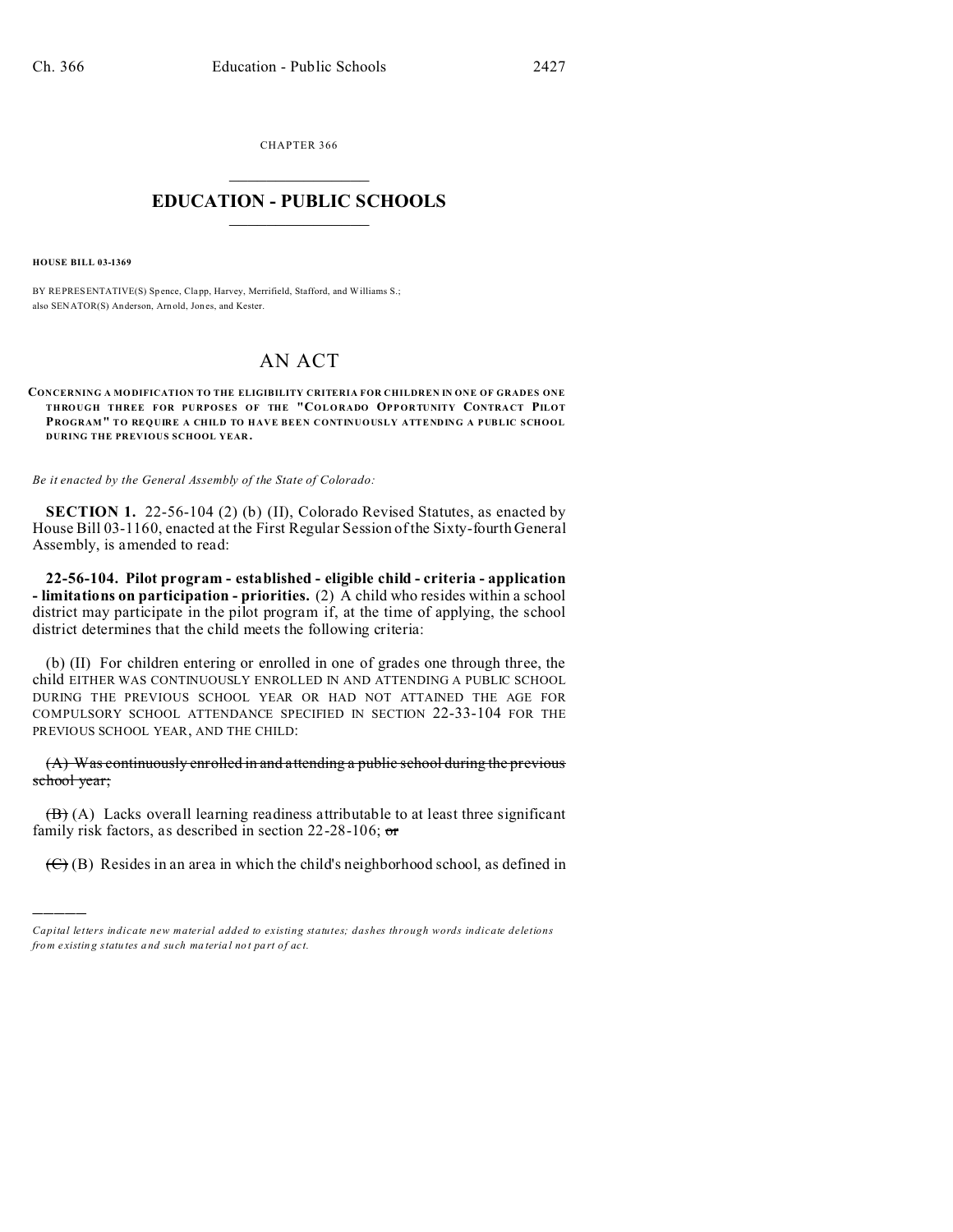CHAPTER 366  $\overline{\phantom{a}}$  , where  $\overline{\phantom{a}}$ 

## **EDUCATION - PUBLIC SCHOOLS**  $\_$   $\_$   $\_$   $\_$   $\_$   $\_$   $\_$   $\_$   $\_$

**HOUSE BILL 03-1369**

)))))

BY REPRESENTATIVE(S) Sp ence, Clapp, Harvey, Merrifield, Stafford, and Williams S.; also SENATOR(S) Anderson, Arn old, Jon es, and Kester.

## AN ACT

**CONCERNING A MO DIFICATION TO THE ELIGIBILITY CRITERIA FOR CHILDREN IN ONE OF GRADES ONE THROUGH THREE FOR PURPOSES OF THE "COLORADO OPPORTUNITY CONTRA CT PILOT PROGRAM" TO REQUIRE A CHILD TO HAVE BEEN CONTINUOUSLY ATTENDING A PUBLIC SCHOOL DURING THE PREVIOUS SCHOOL YEAR .**

*Be it enacted by the General Assembly of the State of Colorado:*

**SECTION 1.** 22-56-104 (2) (b) (II), Colorado Revised Statutes, as enacted by House Bill 03-1160, enacted at the First Regular Session of the Sixty-fourth General Assembly, is amended to read:

**22-56-104. Pilot program - established - eligible child - criteria - application - limitations on participation - priorities.** (2) A child who resides within a school district may participate in the pilot program if, at the time of applying, the school district determines that the child meets the following criteria:

(b) (II) For children entering or enrolled in one of grades one through three, the child EITHER WAS CONTINUOUSLY ENROLLED IN AND ATTENDING A PUBLIC SCHOOL DURING THE PREVIOUS SCHOOL YEAR OR HAD NOT ATTAINED THE AGE FOR COMPULSORY SCHOOL ATTENDANCE SPECIFIED IN SECTION 22-33-104 FOR THE PREVIOUS SCHOOL YEAR, AND THE CHILD:

(A) Was continuously enrolled in and attending a public school during the previous school year;

 $(\mathbf{B})$  (A) Lacks overall learning readiness attributable to at least three significant family risk factors, as described in section  $22-28-106$ ; or

 $(\mathfrak{S}(B))$  Resides in an area in which the child's neighborhood school, as defined in

*Capital letters indicate new material added to existing statutes; dashes through words indicate deletions from e xistin g statu tes a nd such ma teria l no t pa rt of ac t.*